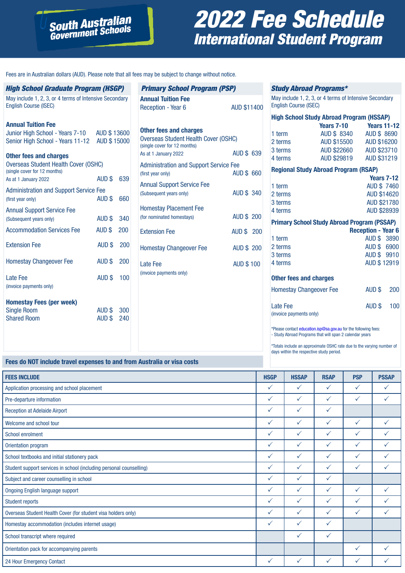## 2022 Fee Schedule International Student Program

Fees are in Australian dollars (AUD). Please note that all fees may be subject to change without notice.

**South Australian**<br>Government Schools

| <b>High School Graduate Program (HSGP)</b>                                                                   |                   |     |
|--------------------------------------------------------------------------------------------------------------|-------------------|-----|
| May include 1, 2, 3, or 4 terms of Intensive Secondary<br><b>English Course (ISEC)</b>                       |                   |     |
| <b>Annual Tuition Fee</b>                                                                                    |                   |     |
| Junior High School - Years 7-10 AUD \$13600<br>Senior High School - Years 11-12 AUD \$15000                  |                   |     |
| <b>Other fees and charges</b><br><b>Overseas Student Health Cover (OSHC)</b><br>(single cover for 12 months) |                   |     |
| As at 1 January 2022                                                                                         | AUD \$            | 639 |
| <b>Administration and Support Service Fee</b><br>(first year only)                                           | AUD \$            | 660 |
| <b>Annual Support Service Fee</b><br>(Subsequent years only)                                                 | AUD \$            | 340 |
| <b>Accommodation Services Fee</b>                                                                            | AUD \$            | 200 |
| <b>Extension Fee</b>                                                                                         | AUD \$            | 200 |
| <b>Homestay Changeover Fee</b>                                                                               | AUD <sub>\$</sub> | 200 |
| Late Fee<br>(invoice payments only)                                                                          | AUD \$            | 100 |
| <b>Homestay Fees (per week)</b><br><b>Single Room</b>                                                        | AUD \$            | 300 |
| <b>Shared Room</b>                                                                                           | AUD \$            | 240 |
|                                                                                                              |                   |     |

| <b>Primary School Program (PSP)</b>                                                                   |                    |  |  |  |
|-------------------------------------------------------------------------------------------------------|--------------------|--|--|--|
| <b>Annual Tuition Fee</b><br>Reception - Year 6                                                       | <b>AUD \$11400</b> |  |  |  |
| Other fees and charges<br><b>Overseas Student Health Cover (OSHC)</b><br>(single cover for 12 months) |                    |  |  |  |
| As at 1 January 2022                                                                                  | <b>AUD \$ 639</b>  |  |  |  |
| <b>Administration and Support Service Fee</b><br>(first year only)                                    | <b>AUD \$ 660</b>  |  |  |  |
| <b>Annual Support Service Fee</b><br>(Subsequent years only)                                          | <b>AUD \$ 340</b>  |  |  |  |
| <b>Homestay Placement Fee</b><br>(for nominated homestays)                                            | <b>AUD \$ 200</b>  |  |  |  |
| <b>Extension Fee</b>                                                                                  | <b>AUD \$ 200</b>  |  |  |  |
| <b>Homestay Changeover Fee</b>                                                                        | <b>AUD \$200</b>   |  |  |  |
| I ate Fee<br>(invoice payments only)                                                                  | <b>AUD \$100</b>   |  |  |  |
|                                                                                                       |                    |  |  |  |

#### Study Abroad Programs\*

May include 1, 2, 3, or 4 terms of Intensive Secondary English Course (ISEC)

| <b>High School Study Abroad Program (HSSAP)</b>    |                                             |                           |                    |  |
|----------------------------------------------------|---------------------------------------------|---------------------------|--------------------|--|
|                                                    | <b>Years 7-10</b> Years 11-12               |                           |                    |  |
| 1 term                                             | AUD \$ 8340 AUD \$ 8690                     |                           |                    |  |
| 2 terms                                            | AUD \$15500 AUD \$16200                     |                           |                    |  |
| 3 terms                                            | AUD \$22660 AUD \$23710                     |                           |                    |  |
| 4 terms                                            | AUD \$29819                                 | AUD \$31219               |                    |  |
|                                                    | <b>Regional Study Abroad Program (RSAP)</b> |                           |                    |  |
|                                                    |                                             |                           | <b>Years 7-12</b>  |  |
| 1 term                                             |                                             |                           | <b>AUD \$7460</b>  |  |
| 2 terms                                            |                                             |                           | <b>AUD \$14620</b> |  |
| 3 terms                                            |                                             |                           | <b>AUD \$21780</b> |  |
| 4 terms                                            |                                             |                           | AUD \$28939        |  |
| <b>Primary School Study Abroad Program (PSSAP)</b> |                                             |                           |                    |  |
|                                                    |                                             | <b>Reception - Year 6</b> |                    |  |
| 1 term                                             |                                             |                           | AUD \$ 3890        |  |
| 2 terms                                            |                                             | AUD \$ 6900               |                    |  |
| 3 terms                                            |                                             |                           | AUD \$9910         |  |
| 4 terms                                            |                                             |                           | AUD \$12919        |  |
| <b>Other fees and charges</b>                      |                                             |                           |                    |  |
| <b>Homestay Changeover Fee</b>                     |                                             | AUD \$                    | 200                |  |
| Late Fee                                           |                                             | AUD \$                    | 100                |  |
| (invoice payments only)                            |                                             |                           |                    |  |
|                                                    |                                             |                           |                    |  |

\*Please contact education.isp@sa.gov.au for the following fees: - Study Abroad Programs that will span 2 calendar years

\*Totals include an approximate OSHC rate due to the varying number of days within the respective study period.

#### **Fees do NOT include travel expenses to and from Australia or visa costs**

| <b>FEES INCLUDE</b>                                                 | <b>HSGP</b>  | <b>HSSAP</b> | <b>RSAP</b>  | <b>PSP</b>   | <b>PSSAP</b> |
|---------------------------------------------------------------------|--------------|--------------|--------------|--------------|--------------|
| Application processing and school placement                         | $\checkmark$ | $\checkmark$ | ✓            | $\checkmark$ | ✓            |
| Pre-departure information                                           | $\checkmark$ | $\checkmark$ | $\checkmark$ | $\checkmark$ | ✓            |
| <b>Reception at Adelaide Airport</b>                                | ✓            | $\checkmark$ | $\checkmark$ |              |              |
| Welcome and school tour                                             | $\checkmark$ | $\checkmark$ | ✓            | $\checkmark$ | $\checkmark$ |
| <b>School enrolment</b>                                             | ✓            | $\checkmark$ | ✓            | $\checkmark$ | ✓            |
| Orientation program                                                 | $\checkmark$ | $\checkmark$ | ✓            | $\checkmark$ | $\checkmark$ |
| School textbooks and initial stationery pack                        | $\checkmark$ | $\checkmark$ | ✓            | $\checkmark$ | ✓            |
| Student support services in school (including personal counselling) | ✓            | $\checkmark$ | ✓            | $\checkmark$ |              |
| Subject and career counselling in school                            | ✓            | $\checkmark$ | ✓            |              |              |
| <b>Ongoing English language support</b>                             | $\checkmark$ | $\checkmark$ | $\checkmark$ | $\checkmark$ | $\checkmark$ |
| <b>Student reports</b>                                              | $\checkmark$ | $\checkmark$ | ✓            | $\checkmark$ | $\checkmark$ |
| Overseas Student Health Cover (for student visa holders only)       | $\checkmark$ | $\checkmark$ | ✓            | $\checkmark$ | $\checkmark$ |
| Homestay accommodation (includes internet usage)                    | $\checkmark$ | $\checkmark$ | ✓            |              |              |
| School transcript where required                                    |              | $\checkmark$ | $\checkmark$ |              |              |
| Orientation pack for accompanying parents                           |              |              |              | $\checkmark$ | $\checkmark$ |
| 24 Hour Emergency Contact                                           | ✓            | $\checkmark$ | ✓            | $\checkmark$ |              |